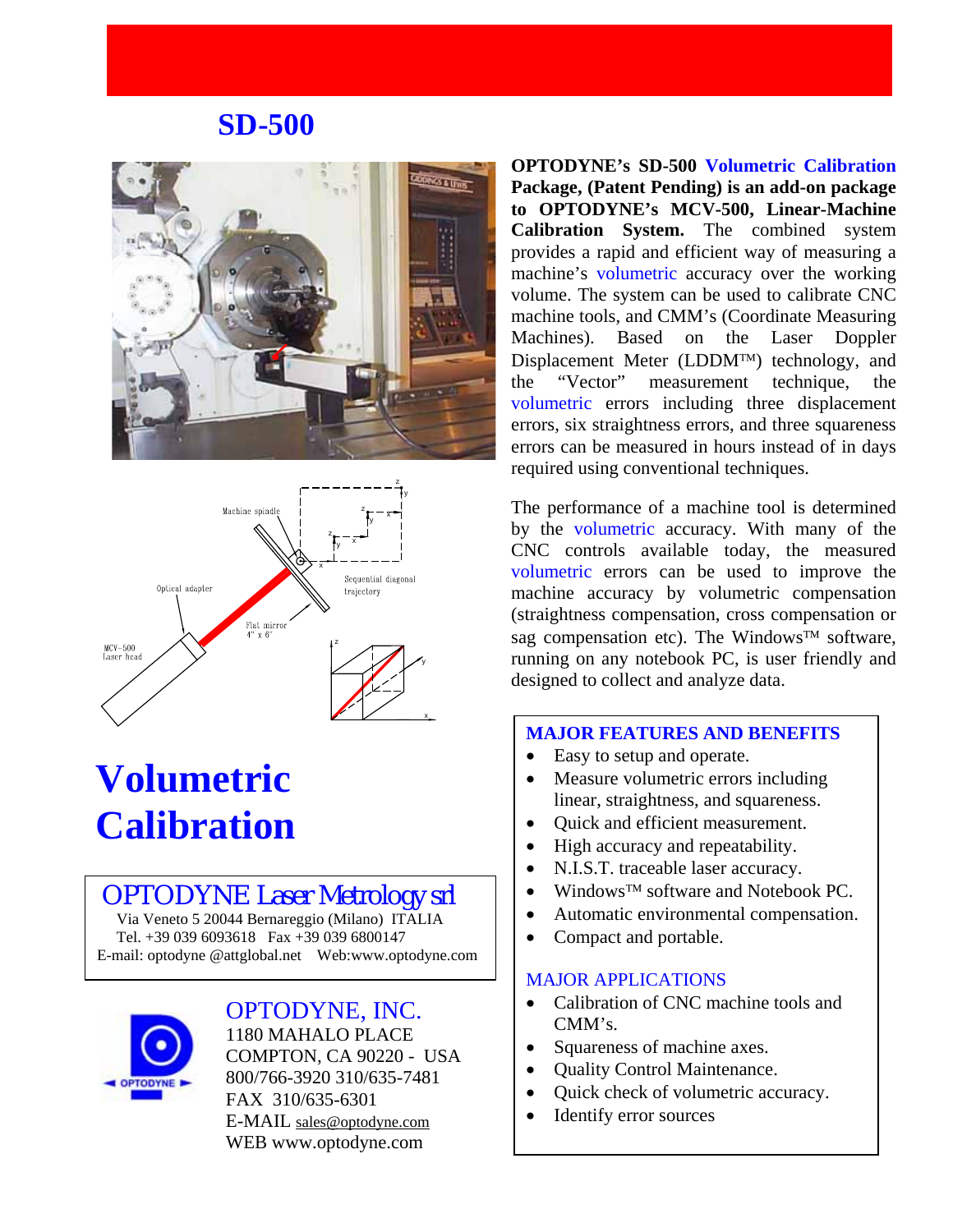# **SD-500**





# **Volumetric Calibration**

# OPTODYNE Laser Metrology srl

 Via Veneto 5 20044 Bernareggio (Milano) ITALIA Tel. +39 039 6093618 Fax +39 039 6800147 E-mail: optodyne @attglobal.net Web:www.optodyne.com



## OPTODYNE, INC.

1180 MAHALO PLACE COMPTON, CA 90220 - USA 800/766-3920 310/635-7481 FAX 310/635-6301 E-MAIL [sales@optodyne.com](mailto:sales@optodyne.com) WEB www.optodyne.com

**OPTODYNE's SD-500 Volumetric Calibration Package, (Patent Pending) is an add-on package to OPTODYNE's MCV-500, Linear-Machine Calibration System.** The combined system provides a rapid and efficient way of measuring a machine's volumetric accuracy over the working volume. The system can be used to calibrate CNC machine tools, and CMM's (Coordinate Measuring Machines). Based on the Laser Doppler Displacement Meter (LDDM™) technology, and the "Vector" measurement technique, the volumetric errors including three displacement errors, six straightness errors, and three squareness errors can be measured in hours instead of in days required using conventional techniques.

The performance of a machine tool is determined by the volumetric accuracy. With many of the CNC controls available today, the measured volumetric errors can be used to improve the machine accuracy by volumetric compensation (straightness compensation, cross compensation or sag compensation etc). The Windows™ software, running on any notebook PC, is user friendly and designed to collect and analyze data.

#### **MAJOR FEATURES AND BENEFITS**

- Easy to setup and operate.
- Measure volumetric errors including linear, straightness, and squareness.
- Quick and efficient measurement.
- High accuracy and repeatability.
- N.I.S.T. traceable laser accuracy.
- Windows™ software and Notebook PC.
- Automatic environmental compensation.
- Compact and portable.

#### MAJOR APPLICATIONS

- Calibration of CNC machine tools and CMM's.
- Squareness of machine axes.
- Quality Control Maintenance.
- Quick check of volumetric accuracy.
- Identify error sources